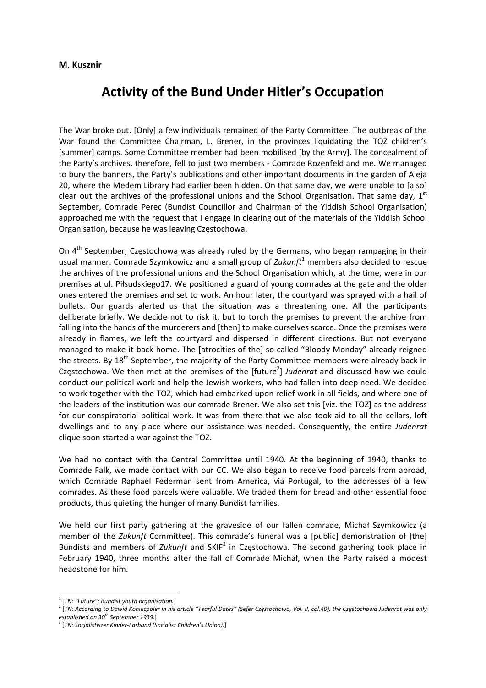## **M. Kusznir**

## **Activity of the Bund Under Hitler's Occupation**

The War broke out. [Only] a few individuals remained of the Party Committee. The outbreak of the War found the Committee Chairman, L. Brener, in the provinces liquidating the TOZ children's [summer] camps. Some Committee member had been mobilised [by the Army]. The concealment of the Party's archives, therefore, fell to just two members ‐ Comrade Rozenfeld and me. We managed to bury the banners, the Party's publications and other important documents in the garden of Aleja 20, where the Medem Library had earlier been hidden. On that same day, we were unable to [also] clear out the archives of the professional unions and the School Organisation. That same day, 1st September, Comrade Perec (Bundist Councillor and Chairman of the Yiddish School Organisation) approached me with the request that I engage in clearing out of the materials of the Yiddish School Organisation, because he was leaving Częstochowa.

On 4<sup>th</sup> September, Częstochowa was already ruled by the Germans, who began rampaging in their usual manner. Comrade Szymkowicz and a small group of *Zukunft*<sup>1</sup> members also decided to rescue the archives of the professional unions and the School Organisation which, at the time, were in our premises at ul. Piłsudskiego17. We positioned a guard of young comrades at the gate and the older ones entered the premises and set to work. An hour later, the courtyard was sprayed with a hail of bullets. Our guards alerted us that the situation was a threatening one. All the participants deliberate briefly. We decide not to risk it, but to torch the premises to prevent the archive from falling into the hands of the murderers and [then] to make ourselves scarce. Once the premises were already in flames, we left the courtyard and dispersed in different directions. But not everyone managed to make it back home. The [atrocities of the] so-called "Bloody Monday" already reigned the streets. By 18<sup>th</sup> September, the majority of the Party Committee members were already back in Częstochowa. We then met at the premises of the [future<sup>2</sup>] Judenrat and discussed how we could conduct our political work and help the Jewish workers, who had fallen into deep need. We decided to work together with the TOZ, which had embarked upon relief work in all fields, and where one of the leaders of the institution was our comrade Brener. We also set this [viz. the TOZ] as the address for our conspiratorial political work. It was from there that we also took aid to all the cellars, loft dwellings and to any place where our assistance was needed. Consequently, the entire *Judenrat* clique soon started a war against the TOZ.

We had no contact with the Central Committee until 1940. At the beginning of 1940, thanks to Comrade Falk, we made contact with our CC. We also began to receive food parcels from abroad, which Comrade Raphael Federman sent from America, via Portugal, to the addresses of a few comrades. As these food parcels were valuable. We traded them for bread and other essential food products, thus quieting the hunger of many Bundist families.

We held our first party gathering at the graveside of our fallen comrade, Michał Szymkowicz (a member of the *Zukunft* Committee). This comrade's funeral was a [public] demonstration of [the] Bundists and members of *Zukunft* and SKIF<sup>3</sup> in Częstochowa. The second gathering took place in February 1940, three months after the fall of Comrade Michał, when the Party raised a modest headstone for him.

<sup>&</sup>lt;sup>1</sup> [TN: "Future"; Bundist youth organisation.]<br><sup>2</sup> [TN: According to Dawid Koniecpoler in his article "Tearful Dates" (Sefer Częstochowa, Vol. II, col.40), the Częstochowa Judenrat was only *established on 30th September 1939.*]

<sup>3</sup> [*TN: Socjalistiszer Kinder‐Farband (Socialist Children's Union).*]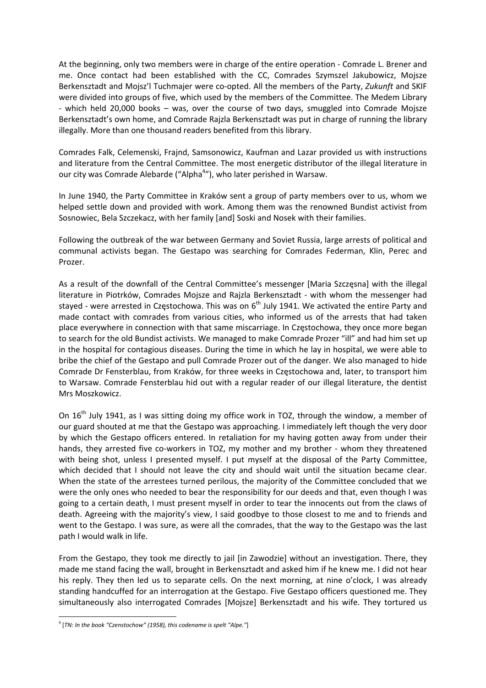At the beginning, only two members were in charge of the entire operation ‐ Comrade L. Brener and me. Once contact had been established with the CC, Comrades Szymszel Jakubowicz, Mojsze Berkensztadt and Mojsz'l Tuchmajer were co‐opted. All the members of the Party, *Zukunft* and SKIF were divided into groups of five, which used by the members of the Committee. The Medem Library ‐ which held 20,000 books – was, over the course of two days, smuggled into Comrade Mojsze Berkensztadt's own home, and Comrade Rajzla Berkensztadt was put in charge of running the library illegally. More than one thousand readers benefited from this library.

Comrades Falk, Celemenski, Frajnd, Samsonowicz, Kaufman and Lazar provided us with instructions and literature from the Central Committee. The most energetic distributor of the illegal literature in our city was Comrade Alebarde ("Alpha<sup>4</sup>"), who later perished in Warsaw.

In June 1940, the Party Committee in Kraków sent a group of party members over to us, whom we helped settle down and provided with work. Among them was the renowned Bundist activist from Sosnowiec, Bela Szczekacz, with her family [and] Soski and Nosek with their families.

Following the outbreak of the war between Germany and Soviet Russia, large arrests of political and communal activists began. The Gestapo was searching for Comrades Federman, Klin, Perec and Prozer.

As a result of the downfall of the Central Committee's messenger [Maria Szczęsna] with the illegal literature in Piotrków, Comrades Mojsze and Rajzla Berkensztadt - with whom the messenger had stayed - were arrested in Częstochowa. This was on  $6<sup>th</sup>$  July 1941. We activated the entire Party and made contact with comrades from various cities, who informed us of the arrests that had taken place everywhere in connection with that same miscarriage. In Częstochowa, they once more began to search for the old Bundist activists. We managed to make Comrade Prozer "ill" and had him set up in the hospital for contagious diseases. During the time in which he lay in hospital, we were able to bribe the chief of the Gestapo and pull Comrade Prozer out of the danger. We also managed to hide Comrade Dr Fensterblau, from Kraków, for three weeks in Częstochowa and, later, to transport him to Warsaw. Comrade Fensterblau hid out with a regular reader of our illegal literature, the dentist Mrs Moszkowicz.

On  $16<sup>th</sup>$  July 1941, as I was sitting doing my office work in TOZ, through the window, a member of our guard shouted at me that the Gestapo was approaching. I immediately left though the very door by which the Gestapo officers entered. In retaliation for my having gotten away from under their hands, they arrested five co-workers in TOZ, my mother and my brother - whom they threatened with being shot, unless I presented myself. I put myself at the disposal of the Party Committee, which decided that I should not leave the city and should wait until the situation became clear. When the state of the arrestees turned perilous, the majority of the Committee concluded that we were the only ones who needed to bear the responsibility for our deeds and that, even though I was going to a certain death, I must present myself in order to tear the innocents out from the claws of death. Agreeing with the majority's view, I said goodbye to those closest to me and to friends and went to the Gestapo. I was sure, as were all the comrades, that the way to the Gestapo was the last path I would walk in life.

From the Gestapo, they took me directly to jail [in Zawodzie] without an investigation. There, they made me stand facing the wall, brought in Berkensztadt and asked him if he knew me. I did not hear his reply. They then led us to separate cells. On the next morning, at nine o'clock, I was already standing handcuffed for an interrogation at the Gestapo. Five Gestapo officers questioned me. They simultaneously also interrogated Comrades [Mojsze] Berkensztadt and his wife. They tortured us

<sup>4</sup> [*TN: In the book "Czenstochow" (1958), this codename is spelt "Alpe."*]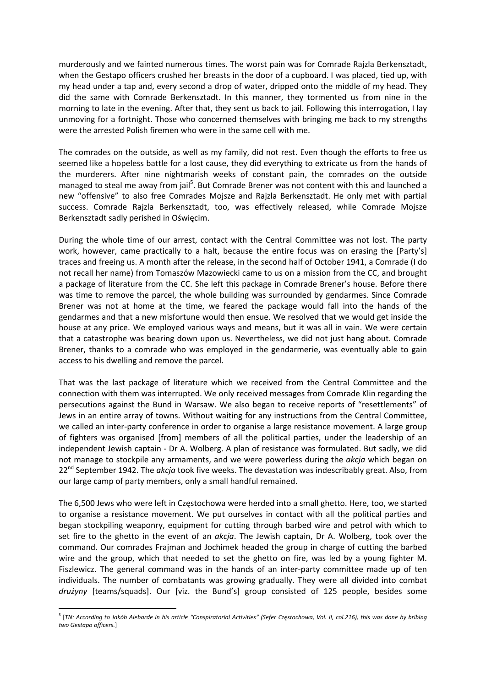murderously and we fainted numerous times. The worst pain was for Comrade Rajzla Berkensztadt, when the Gestapo officers crushed her breasts in the door of a cupboard. I was placed, tied up, with my head under a tap and, every second a drop of water, dripped onto the middle of my head. They did the same with Comrade Berkensztadt. In this manner, they tormented us from nine in the morning to late in the evening. After that, they sent us back to jail. Following this interrogation, I lay unmoving for a fortnight. Those who concerned themselves with bringing me back to my strengths were the arrested Polish firemen who were in the same cell with me.

The comrades on the outside, as well as my family, did not rest. Even though the efforts to free us seemed like a hopeless battle for a lost cause, they did everything to extricate us from the hands of the murderers. After nine nightmarish weeks of constant pain, the comrades on the outside managed to steal me away from jail<sup>5</sup>. But Comrade Brener was not content with this and launched a new "offensive" to also free Comrades Mojsze and Rajzla Berkensztadt. He only met with partial success. Comrade Rajzla Berkensztadt, too, was effectively released, while Comrade Mojsze Berkensztadt sadly perished in Oświęcim.

During the whole time of our arrest, contact with the Central Committee was not lost. The party work, however, came practically to a halt, because the entire focus was on erasing the [Party's] traces and freeing us. A month after the release, in the second half of October 1941, a Comrade (I do not recall her name) from Tomaszów Mazowiecki came to us on a mission from the CC, and brought a package of literature from the CC. She left this package in Comrade Brener's house. Before there was time to remove the parcel, the whole building was surrounded by gendarmes. Since Comrade Brener was not at home at the time, we feared the package would fall into the hands of the gendarmes and that a new misfortune would then ensue. We resolved that we would get inside the house at any price. We employed various ways and means, but it was all in vain. We were certain that a catastrophe was bearing down upon us. Nevertheless, we did not just hang about. Comrade Brener, thanks to a comrade who was employed in the gendarmerie, was eventually able to gain access to his dwelling and remove the parcel.

That was the last package of literature which we received from the Central Committee and the connection with them was interrupted. We only received messages from Comrade Klin regarding the persecutions against the Bund in Warsaw. We also began to receive reports of "resettlements" of Jews in an entire array of towns. Without waiting for any instructions from the Central Committee, we called an inter-party conference in order to organise a large resistance movement. A large group of fighters was organised [from] members of all the political parties, under the leadership of an independent Jewish captain ‐ Dr A. Wolberg. A plan of resistance was formulated. But sadly, we did not manage to stockpile any armaments, and we were powerless during the *akcja* which began on 22<sup>nd</sup> September 1942. The *akcja* took five weeks. The devastation was indescribably great. Also, from our large camp of party members, only a small handful remained.

The 6,500 Jews who were left in Częstochowa were herded into a small ghetto. Here, too, we started to organise a resistance movement. We put ourselves in contact with all the political parties and began stockpiling weaponry, equipment for cutting through barbed wire and petrol with which to set fire to the ghetto in the event of an *akcja*. The Jewish captain, Dr A. Wolberg, took over the command. Our comrades Frajman and Jochimek headed the group in charge of cutting the barbed wire and the group, which that needed to set the ghetto on fire, was led by a young fighter M. Fiszlewicz. The general command was in the hands of an inter-party committee made up of ten individuals. The number of combatants was growing gradually. They were all divided into combat *drużyny* [teams/squads]. Our [viz. the Bund's] group consisted of 125 people, besides some

<sup>&</sup>lt;sup>5</sup> [TN: According to Jakób Alebarde in his article "Conspiratorial Activities" (Sefer Częstochowa, Vol. II, col.216), this was done by bribing *two Gestapo officers.*]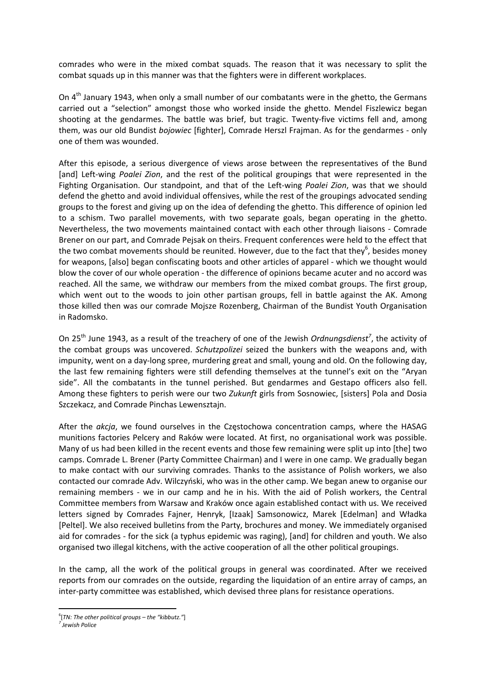comrades who were in the mixed combat squads. The reason that it was necessary to split the combat squads up in this manner was that the fighters were in different workplaces.

On 4<sup>th</sup> January 1943, when only a small number of our combatants were in the ghetto, the Germans carried out a "selection" amongst those who worked inside the ghetto. Mendel Fiszlewicz began shooting at the gendarmes. The battle was brief, but tragic. Twenty-five victims fell and, among them, was our old Bundist *bojowiec* [fighter], Comrade Herszl Frajman. As for the gendarmes ‐ only one of them was wounded.

After this episode, a serious divergence of views arose between the representatives of the Bund [and] Left‐wing *Poalei Zion*, and the rest of the political groupings that were represented in the Fighting Organisation. Our standpoint, and that of the Left‐wing *Poalei Zion*, was that we should defend the ghetto and avoid individual offensives, while the rest of the groupings advocated sending groups to the forest and giving up on the idea of defending the ghetto. This difference of opinion led to a schism. Two parallel movements, with two separate goals, began operating in the ghetto. Nevertheless, the two movements maintained contact with each other through liaisons ‐ Comrade Brener on our part, and Comrade Pejsak on theirs. Frequent conferences were held to the effect that the two combat movements should be reunited. However, due to the fact that they<sup>6</sup>, besides money for weapons, [also] began confiscating boots and other articles of apparel ‐ which we thought would blow the cover of our whole operation ‐ the difference of opinions became acuter and no accord was reached. All the same, we withdraw our members from the mixed combat groups. The first group, which went out to the woods to join other partisan groups, fell in battle against the AK. Among those killed then was our comrade Mojsze Rozenberg, Chairman of the Bundist Youth Organisation in Radomsko.

On 25<sup>th</sup> June 1943, as a result of the treachery of one of the Jewish *Ordnungsdienst<sup>7</sup>*, the activity of the combat groups was uncovered. *Schutzpolizei* seized the bunkers with the weapons and, with impunity, went on a day‐long spree, murdering great and small, young and old. On the following day, the last few remaining fighters were still defending themselves at the tunnel's exit on the "Aryan side". All the combatants in the tunnel perished. But gendarmes and Gestapo officers also fell. Among these fighters to perish were our two *Zukunft* girls from Sosnowiec, [sisters] Pola and Dosia Szczekacz, and Comrade Pinchas Lewensztajn.

After the *akcja*, we found ourselves in the Częstochowa concentration camps, where the HASAG munitions factories Pelcery and Raków were located. At first, no organisational work was possible. Many of us had been killed in the recent events and those few remaining were split up into [the] two camps. Comrade L. Brener (Party Committee Chairman) and I were in one camp. We gradually began to make contact with our surviving comrades. Thanks to the assistance of Polish workers, we also contacted our comrade Adv. Wilczyński, who was in the other camp. We began anew to organise our remaining members - we in our camp and he in his. With the aid of Polish workers, the Central Committee members from Warsaw and Kraków once again established contact with us. We received letters signed by Comrades Fajner, Henryk, [Izaak] Samsonowicz, Marek [Edelman] and Władka [Peltel]. We also received bulletins from the Party, brochures and money. We immediately organised aid for comrades ‐ for the sick (a typhus epidemic was raging), [and] for children and youth. We also organised two illegal kitchens, with the active cooperation of all the other political groupings.

In the camp, all the work of the political groups in general was coordinated. After we received reports from our comrades on the outside, regarding the liquidation of an entire array of camps, an inter-party committee was established, which devised three plans for resistance operations.

 6 [*TN: The other political groups – the "kibbutz."*]

*<sup>7</sup> Jewish Police*